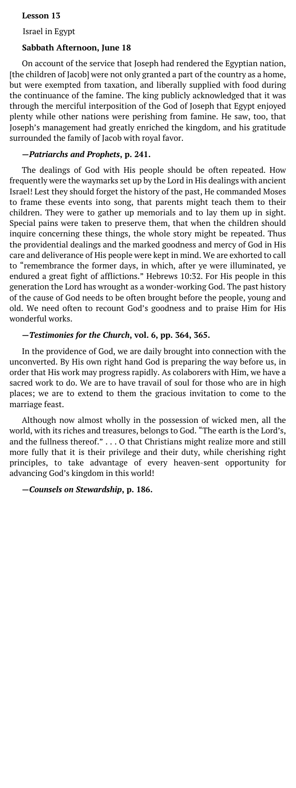# **Lesson 13**

# Israel in Egypt

# **Sabbath Afternoon, June 18**

On account of the service that Joseph had rendered the Egyptian nation, [the children of Jacob] were not only granted a part of the country as a home, but were exempted from taxation, and liberally supplied with food during the continuance of the famine. The king publicly acknowledged that it was through the merciful interposition of the God of Joseph that Egypt enjoyed plenty while other nations were perishing from famine. He saw, too, that Joseph's management had greatly enriched the kingdom, and his gratitude surrounded the family of Jacob with royal favor.

# **—***Patriarchs and Prophets***, p. 241.**

The dealings of God with His people should be often repeated. How frequently were the waymarks set up by the Lord in His dealings with ancient Israel! Lest they should forget the history of the past, He commanded Moses to frame these events into song, that parents might teach them to their children. They were to gather up memorials and to lay them up in sight. Special pains were taken to preserve them, that when the children should inquire concerning these things, the whole story might be repeated. Thus the providential dealings and the marked goodness and mercy of God in His care and deliverance of His people were kept in mind. We are exhorted to call to "remembrance the former days, in which, after ye were illuminated, ye endured a great fight of afflictions." Hebrews 10:32. For His people in this generation the Lord has wrought as a wonder-working God. The past history of the cause of God needs to be often brought before the people, young and old. We need often to recount God's goodness and to praise Him for His wonderful works.

# **—***Testimonies for the Church***, vol. 6, pp. 364, 365.**

In the providence of God, we are daily brought into connection with the unconverted. By His own right hand God is preparing the way before us, in order that His work may progress rapidly. As colaborers with Him, we have a sacred work to do. We are to have travail of soul for those who are in high places; we are to extend to them the gracious invitation to come to the marriage feast.

Although now almost wholly in the possession of wicked men, all the world, with its riches and treasures, belongs to God. "The earth is the Lord's, and the fullness thereof." . . . O that Christians might realize more and still more fully that it is their privilege and their duty, while cherishing right principles, to take advantage of every heaven-sent opportunity for advancing God's kingdom in this world!

**—***Counsels on Stewardship***, p. 186.**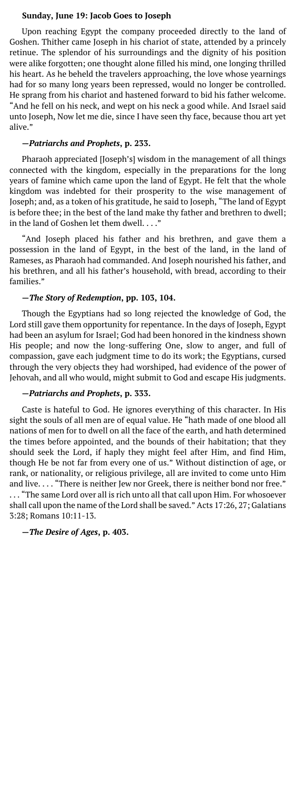#### **Sunday, June 19: Jacob Goes to Joseph**

Upon reaching Egypt the company proceeded directly to the land of Goshen. Thither came Joseph in his chariot of state, attended by a princely retinue. The splendor of his surroundings and the dignity of his position were alike forgotten; one thought alone filled his mind, one longing thrilled his heart. As he beheld the travelers approaching, the love whose yearnings had for so many long years been repressed, would no longer be controlled. He sprang from his chariot and hastened forward to bid his father welcome. "And he fell on his neck, and wept on his neck a good while. And Israel said unto Joseph, Now let me die, since I have seen thy face, because thou art yet alive."

#### **—***Patriarchs and Prophets***, p. 233.**

Pharaoh appreciated [Joseph's] wisdom in the management of all things connected with the kingdom, especially in the preparations for the long years of famine which came upon the land of Egypt. He felt that the whole kingdom was indebted for their prosperity to the wise management of Joseph; and, as a token of his gratitude, he said to Joseph, "The land of Egypt is before thee; in the best of the land make thy father and brethren to dwell; in the land of Goshen let them dwell. . . ."

"And Joseph placed his father and his brethren, and gave them a possession in the land of Egypt, in the best of the land, in the land of Rameses, as Pharaoh had commanded. And Joseph nourished his father, and his brethren, and all his father's household, with bread, according to their families."

#### **—***The Story of Redemption***, pp. 103, 104.**

Though the Egyptians had so long rejected the knowledge of God, the Lord still gave them opportunity for repentance. In the days of Joseph, Egypt had been an asylum for Israel; God had been honored in the kindness shown His people; and now the long-suffering One, slow to anger, and full of compassion, gave each judgment time to do its work; the Egyptians, cursed through the very objects they had worshiped, had evidence of the power of Jehovah, and all who would, might submit to God and escape His judgments.

# **—***Patriarchs and Prophets***, p. 333.**

Caste is hateful to God. He ignores everything of this character. In His sight the souls of all men are of equal value. He "hath made of one blood all nations of men for to dwell on all the face of the earth, and hath determined the times before appointed, and the bounds of their habitation; that they should seek the Lord, if haply they might feel after Him, and find Him, though He be not far from every one of us." Without distinction of age, or rank, or nationality, or religious privilege, all are invited to come unto Him and live. . . . "There is neither Jew nor Greek, there is neither bond nor free." . . . "The same Lord over all is rich unto all that call upon Him. For whosoever shall call upon the name of the Lord shall be saved." Acts 17:26, 27; Galatians 3:28; Romans 10:11-13.

**—***The Desire of Ages***, p. 403.**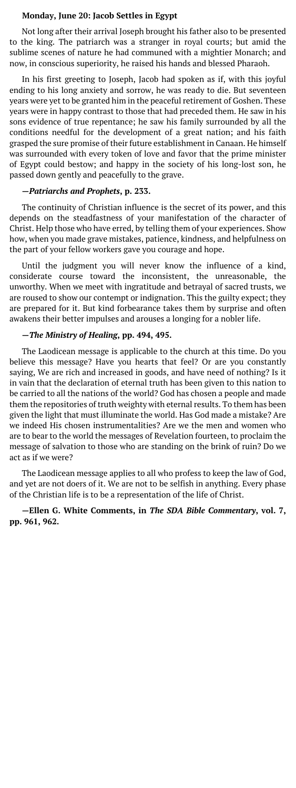# **Monday, June 20: Jacob Settles in Egypt**

Not long after their arrival Joseph brought his father also to be presented to the king. The patriarch was a stranger in royal courts; but amid the sublime scenes of nature he had communed with a mightier Monarch; and now, in conscious superiority, he raised his hands and blessed Pharaoh.

In his first greeting to Joseph, Jacob had spoken as if, with this joyful ending to his long anxiety and sorrow, he was ready to die. But seventeen years were yet to be granted him in the peaceful retirement of Goshen. These years were in happy contrast to those that had preceded them. He saw in his sons evidence of true repentance; he saw his family surrounded by all the conditions needful for the development of a great nation; and his faith grasped the sure promise of their future establishment in Canaan. He himself was surrounded with every token of love and favor that the prime minister of Egypt could bestow; and happy in the society of his long-lost son, he passed down gently and peacefully to the grave.

# **—***Patriarchs and Prophets***, p. 233.**

The continuity of Christian influence is the secret of its power, and this depends on the steadfastness of your manifestation of the character of Christ. Help those who have erred, by telling them of your experiences. Show how, when you made grave mistakes, patience, kindness, and helpfulness on the part of your fellow workers gave you courage and hope.

Until the judgment you will never know the influence of a kind, considerate course toward the inconsistent, the unreasonable, the unworthy. When we meet with ingratitude and betrayal of sacred trusts, we are roused to show our contempt or indignation. This the guilty expect; they are prepared for it. But kind forbearance takes them by surprise and often awakens their better impulses and arouses a longing for a nobler life.

# **—***The Ministry of Healing***, pp. 494, 495.**

The Laodicean message is applicable to the church at this time. Do you believe this message? Have you hearts that feel? Or are you constantly saying, We are rich and increased in goods, and have need of nothing? Is it in vain that the declaration of eternal truth has been given to this nation to be carried to all the nations of the world? God has chosen a people and made them the repositories of truth weighty with eternal results. To them has been given the light that must illuminate the world. Has God made a mistake? Are we indeed His chosen instrumentalities? Are we the men and women who are to bear to the world the messages of Revelation fourteen, to proclaim the message of salvation to those who are standing on the brink of ruin? Do we act as if we were?

The Laodicean message applies to all who profess to keep the law of God, and yet are not doers of it. We are not to be selfish in anything. Every phase of the Christian life is to be a representation of the life of Christ.

# **—Ellen G. White Comments, in** *The SDA Bible Commentary***, vol. 7, pp. 961, 962.**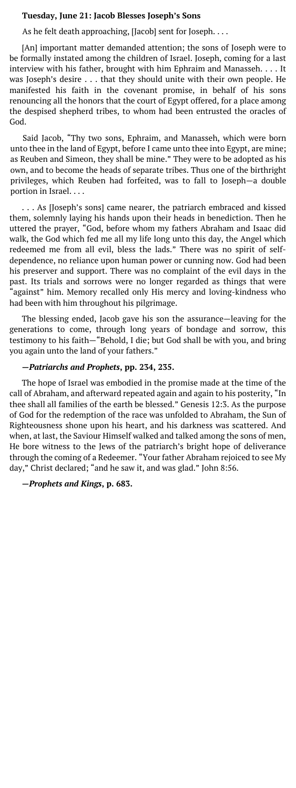# **Tuesday, June 21: Jacob Blesses Joseph's Sons**

As he felt death approaching, [Jacob] sent for Joseph....

[An] important matter demanded attention; the sons of Joseph were to be formally instated among the children of Israel. Joseph, coming for a last interview with his father, brought with him Ephraim and Manasseh. . . . It was Joseph's desire . . . that they should unite with their own people. He manifested his faith in the covenant promise, in behalf of his sons renouncing all the honors that the court of Egypt offered, for a place among the despised shepherd tribes, to whom had been entrusted the oracles of God.

Said Jacob, "Thy two sons, Ephraim, and Manasseh, which were born unto thee in the land of Egypt, before I came unto thee into Egypt, are mine; as Reuben and Simeon, they shall be mine." They were to be adopted as his own, and to become the heads of separate tribes. Thus one of the birthright privileges, which Reuben had forfeited, was to fall to Joseph—a double portion in Israel. . . .

. . . As [Joseph's sons] came nearer, the patriarch embraced and kissed them, solemnly laying his hands upon their heads in benediction. Then he uttered the prayer, "God, before whom my fathers Abraham and Isaac did walk, the God which fed me all my life long unto this day, the Angel which redeemed me from all evil, bless the lads." There was no spirit of selfdependence, no reliance upon human power or cunning now. God had been his preserver and support. There was no complaint of the evil days in the past. Its trials and sorrows were no longer regarded as things that were "against" him. Memory recalled only His mercy and loving-kindness who had been with him throughout his pilgrimage.

The blessing ended, Jacob gave his son the assurance—leaving for the generations to come, through long years of bondage and sorrow, this testimony to his faith—"Behold, I die; but God shall be with you, and bring you again unto the land of your fathers."

# **—***Patriarchs and Prophets***, pp. 234, 235.**

The hope of Israel was embodied in the promise made at the time of the call of Abraham, and afterward repeated again and again to his posterity, "In thee shall all families of the earth be blessed." Genesis 12:3. As the purpose of God for the redemption of the race was unfolded to Abraham, the Sun of Righteousness shone upon his heart, and his darkness was scattered. And when, at last, the Saviour Himself walked and talked among the sons of men, He bore witness to the Jews of the patriarch's bright hope of deliverance through the coming of a Redeemer. "Your father Abraham rejoiced to see My day," Christ declared; "and he saw it, and was glad." John 8:56.

#### **—***Prophets and Kings***, p. 683.**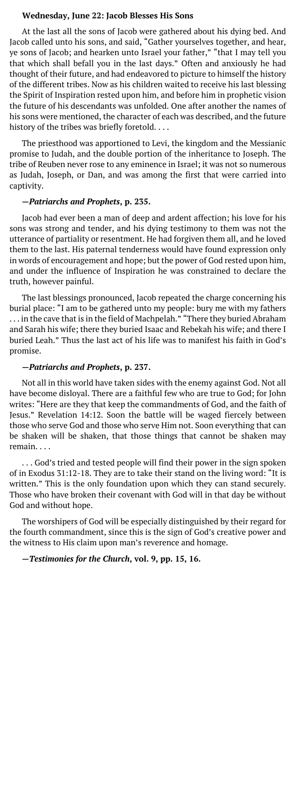#### **Wednesday, June 22: Jacob Blesses His Sons**

At the last all the sons of Jacob were gathered about his dying bed. And Jacob called unto his sons, and said, "Gather yourselves together, and hear, ye sons of Jacob; and hearken unto Israel your father," "that I may tell you that which shall befall you in the last days." Often and anxiously he had thought of their future, and had endeavored to picture to himself the history of the different tribes. Now as his children waited to receive his last blessing the Spirit of Inspiration rested upon him, and before him in prophetic vision the future of his descendants was unfolded. One after another the names of his sons were mentioned, the character of each was described, and the future history of the tribes was briefly foretold. . . .

The priesthood was apportioned to Levi, the kingdom and the Messianic promise to Judah, and the double portion of the inheritance to Joseph. The tribe of Reuben never rose to any eminence in Israel; it was not so numerous as Judah, Joseph, or Dan, and was among the first that were carried into captivity.

# **—***Patriarchs and Prophets***, p. 235.**

Jacob had ever been a man of deep and ardent affection; his love for his sons was strong and tender, and his dying testimony to them was not the utterance of partiality or resentment. He had forgiven them all, and he loved them to the last. His paternal tenderness would have found expression only in words of encouragement and hope; but the power of God rested upon him, and under the influence of Inspiration he was constrained to declare the truth, however painful.

The last blessings pronounced, Jacob repeated the charge concerning his burial place: "I am to be gathered unto my people: bury me with my fathers . . . in the cave that is in the field of Machpelah." "There they buried Abraham and Sarah his wife; there they buried Isaac and Rebekah his wife; and there I buried Leah." Thus the last act of his life was to manifest his faith in God's promise.

# **—***Patriarchs and Prophets***, p. 237.**

Not all in this world have taken sides with the enemy against God. Not all have become disloyal. There are a faithful few who are true to God; for John writes: "Here are they that keep the commandments of God, and the faith of Jesus." Revelation 14:12. Soon the battle will be waged fiercely between those who serve God and those who serve Him not. Soon everything that can be shaken will be shaken, that those things that cannot be shaken may remain. . . .

. . . God's tried and tested people will find their power in the sign spoken of in Exodus 31:12-18. They are to take their stand on the living word: "It is written." This is the only foundation upon which they can stand securely. Those who have broken their covenant with God will in that day be without God and without hope.

The worshipers of God will be especially distinguished by their regard for the fourth commandment, since this is the sign of God's creative power and the witness to His claim upon man's reverence and homage.

**—***Testimonies for the Church***, vol. 9, pp. 15, 16.**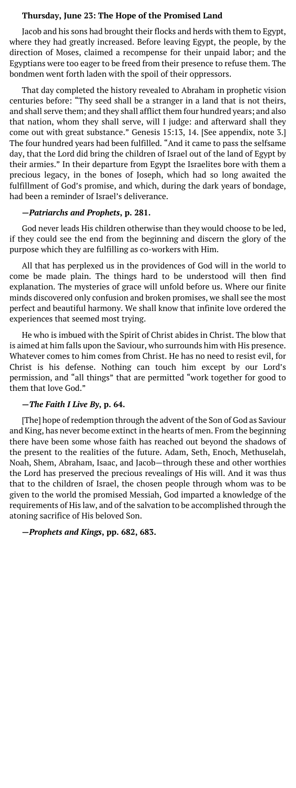# **Thursday, June 23: The Hope of the Promised Land**

Jacob and his sons had brought their flocks and herds with them to Egypt, where they had greatly increased. Before leaving Egypt, the people, by the direction of Moses, claimed a recompense for their unpaid labor; and the Egyptians were too eager to be freed from their presence to refuse them. The bondmen went forth laden with the spoil of their oppressors.

That day completed the history revealed to Abraham in prophetic vision centuries before: "Thy seed shall be a stranger in a land that is not theirs, and shall serve them; and they shall afflict them four hundred years; and also that nation, whom they shall serve, will I judge: and afterward shall they come out with great substance." Genesis 15:13, 14. [See appendix, note 3.] The four hundred years had been fulfilled. "And it came to pass the selfsame day, that the Lord did bring the children of Israel out of the land of Egypt by their armies." In their departure from Egypt the Israelites bore with them a precious legacy, in the bones of Joseph, which had so long awaited the fulfillment of God's promise, and which, during the dark years of bondage, had been a reminder of Israel's deliverance.

# **—***Patriarchs and Prophets***, p. 281.**

God never leads His children otherwise than they would choose to be led, if they could see the end from the beginning and discern the glory of the purpose which they are fulfilling as co-workers with Him.

All that has perplexed us in the providences of God will in the world to come be made plain. The things hard to be understood will then find explanation. The mysteries of grace will unfold before us. Where our finite minds discovered only confusion and broken promises, we shall see the most perfect and beautiful harmony. We shall know that infinite love ordered the experiences that seemed most trying.

He who is imbued with the Spirit of Christ abides in Christ. The blow that is aimed at him falls upon the Saviour, who surrounds him with His presence. Whatever comes to him comes from Christ. He has no need to resist evil, for Christ is his defense. Nothing can touch him except by our Lord's permission, and "all things" that are permitted "work together for good to them that love God."

#### **—***The Faith I Live By***, p. 64.**

[The] hope of redemption through the advent of the Son of God as Saviour and King, has never become extinct in the hearts of men. From the beginning there have been some whose faith has reached out beyond the shadows of the present to the realities of the future. Adam, Seth, Enoch, Methuselah, Noah, Shem, Abraham, Isaac, and Jacob—through these and other worthies the Lord has preserved the precious revealings of His will. And it was thus that to the children of Israel, the chosen people through whom was to be given to the world the promised Messiah, God imparted a knowledge of the requirements of His law, and of the salvation to be accomplished through the atoning sacrifice of His beloved Son.

# **—***Prophets and Kings***, pp. 682, 683.**